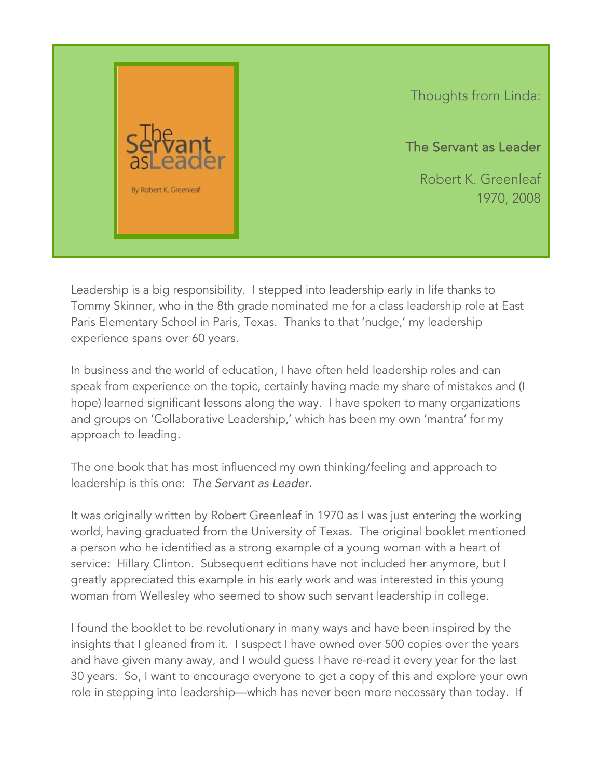

Thoughts from Linda:

The Servant as Leader

Robert K. Greenleaf 1970, 2008

Leadership is a big responsibility. I stepped into leadership early in life thanks to Tommy Skinner, who in the 8th grade nominated me for a class leadership role at East Paris Elementary School in Paris, Texas. Thanks to that 'nudge,' my leadership experience spans over 60 years.

In business and the world of education, I have often held leadership roles and can speak from experience on the topic, certainly having made my share of mistakes and (I hope) learned significant lessons along the way. I have spoken to many organizations and groups on 'Collaborative Leadership,' which has been my own 'mantra' for my approach to leading.

The one book that has most influenced my own thinking/feeling and approach to leadership is this one: *The Servant as Leader.*

It was originally written by Robert Greenleaf in 1970 as I was just entering the working world, having graduated from the University of Texas. The original booklet mentioned a person who he identified as a strong example of a young woman with a heart of service: Hillary Clinton. Subsequent editions have not included her anymore, but I greatly appreciated this example in his early work and was interested in this young woman from Wellesley who seemed to show such servant leadership in college.

I found the booklet to be revolutionary in many ways and have been inspired by the insights that I gleaned from it. I suspect I have owned over 500 copies over the years and have given many away, and I would guess I have re-read it every year for the last 30 years. So, I want to encourage everyone to get a copy of this and explore your own role in stepping into leadership—which has never been more necessary than today. If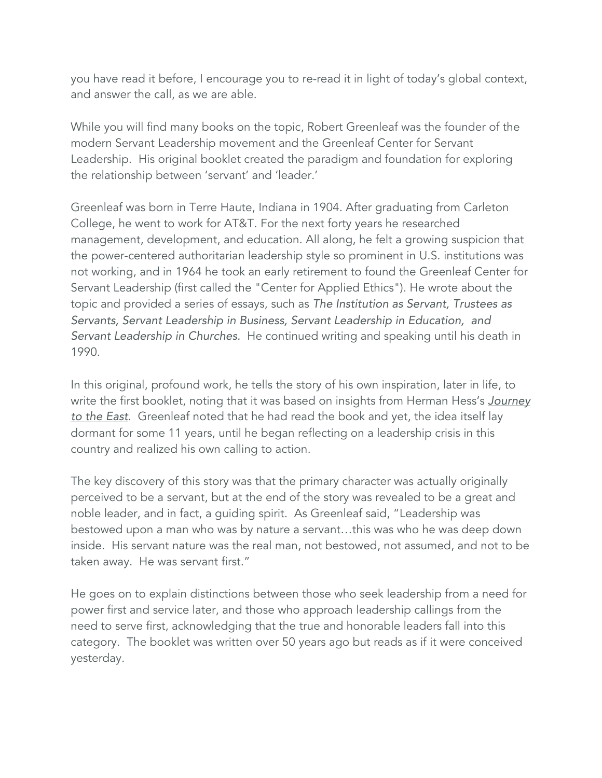you have read it before, I encourage you to re-read it in light of today's global context, and answer the call, as we are able.

While you will find many books on the topic, Robert Greenleaf was the founder of the modern Servant Leadership movement and the Greenleaf Center for Servant Leadership. His original booklet created the paradigm and foundation for exploring the relationship between 'servant' and 'leader.'

Greenleaf was born in Terre Haute, Indiana in 1904. After graduating from Carleton College, he went to work for AT&T. For the next forty years he researched management, development, and education. All along, he felt a growing suspicion that the power-centered authoritarian leadership style so prominent in U.S. institutions was not working, and in 1964 he took an early retirement to found the Greenleaf Center for Servant Leadership (first called the "Center for Applied Ethics"). He wrote about the topic and provided a series of essays, such as *The Institution as Servant, Trustees as Servants, Servant Leadership in Business, Servant Leadership in Education, and Servant Leadership in Churches.* He continued writing and speaking until his death in 1990.

In this original, profound work, he tells the story of his own inspiration, later in life, to write the first booklet, noting that it was based on insights from Herman Hess's *Journey to the East*. Greenleaf noted that he had read the book and yet, the idea itself lay dormant for some 11 years, until he began reflecting on a leadership crisis in this country and realized his own calling to action.

The key discovery of this story was that the primary character was actually originally perceived to be a servant, but at the end of the story was revealed to be a great and noble leader, and in fact, a guiding spirit. As Greenleaf said, "Leadership was bestowed upon a man who was by nature a servant…this was who he was deep down inside. His servant nature was the real man, not bestowed, not assumed, and not to be taken away. He was servant first."

He goes on to explain distinctions between those who seek leadership from a need for power first and service later, and those who approach leadership callings from the need to serve first, acknowledging that the true and honorable leaders fall into this category. The booklet was written over 50 years ago but reads as if it were conceived yesterday.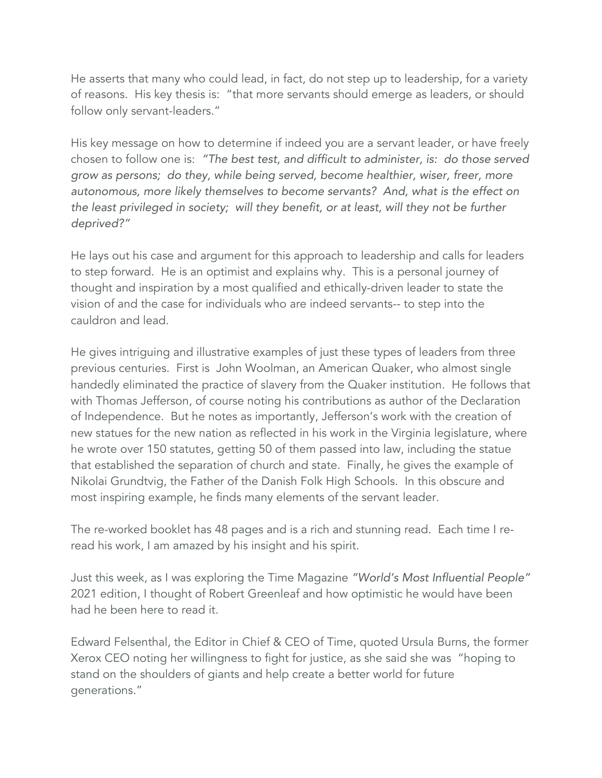He asserts that many who could lead, in fact, do not step up to leadership, for a variety of reasons. His key thesis is: "that more servants should emerge as leaders, or should follow only servant-leaders."

His key message on how to determine if indeed you are a servant leader, or have freely chosen to follow one is: *"The best test, and difficult to administer, is: do those served grow as persons; do they, while being served, become healthier, wiser, freer, more autonomous, more likely themselves to become servants? And, what is the effect on the least privileged in society; will they benefit, or at least, will they not be further deprived?"*

He lays out his case and argument for this approach to leadership and calls for leaders to step forward. He is an optimist and explains why. This is a personal journey of thought and inspiration by a most qualified and ethically-driven leader to state the vision of and the case for individuals who are indeed servants-- to step into the cauldron and lead.

He gives intriguing and illustrative examples of just these types of leaders from three previous centuries. First is John Woolman, an American Quaker, who almost single handedly eliminated the practice of slavery from the Quaker institution. He follows that with Thomas Jefferson, of course noting his contributions as author of the Declaration of Independence. But he notes as importantly, Jefferson's work with the creation of new statues for the new nation as reflected in his work in the Virginia legislature, where he wrote over 150 statutes, getting 50 of them passed into law, including the statue that established the separation of church and state. Finally, he gives the example of Nikolai Grundtvig, the Father of the Danish Folk High Schools. In this obscure and most inspiring example, he finds many elements of the servant leader.

The re-worked booklet has 48 pages and is a rich and stunning read. Each time I reread his work, I am amazed by his insight and his spirit.

Just this week, as I was exploring the Time Magazine *"World's Most Influential People"* 2021 edition, I thought of Robert Greenleaf and how optimistic he would have been had he been here to read it.

Edward Felsenthal, the Editor in Chief & CEO of Time, quoted Ursula Burns, the former Xerox CEO noting her willingness to fight for justice, as she said she was "hoping to stand on the shoulders of giants and help create a better world for future generations."